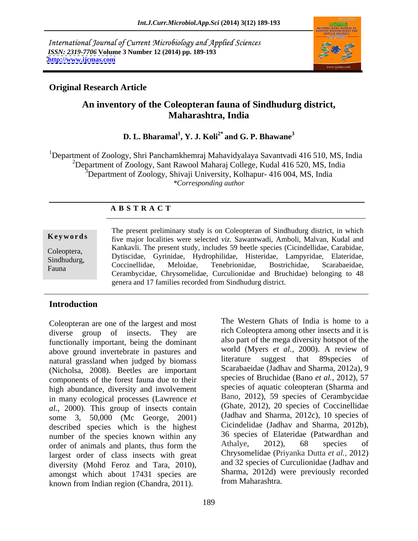International Journal of Current Microbiology and Applied Sciences *ISSN: 2319-7706* **Volume 3 Number 12 (2014) pp. 189-193 <http://www.ijcmas.com>**



## **Original Research Article**

# **An inventory of the Coleopteran fauna of Sindhudurg district, Maharashtra, India**

### $\mathbf{D}.$   $\mathbf{L}.$  Bharamal $^1$ ,  $\mathbf{Y}.$   $\mathbf{J}.$  Koli $^{2^*}$  and  $\mathbf{G}.$   $\mathbf{P}.$  Bhawane $^3$ **and G. P. Bhawane<sup>3</sup>**

<sup>1</sup>Department of Zoology, Shri Panchamkhemraj Mahavidyalaya Savantvadi 416 510, MS, India <sup>2</sup>Department of Zoology, Sant Rawool Maharaj College, Kudal 416 520, MS, India  $3$ Department of Zoology, Shivaji University, Kolhapur- 416 004, MS, India *\*Corresponding author*

## **A B S T R A C T**

**Keywords** five major localities were selected *viz*. Sawantwadi, Amboli, Malvan, Kudal and Coleoptera, Rainavii. The present study, includes 39 been species (Ciclinucinuae, Carabiuae, Sindhudurg, Dytiscidae, Gyrinidae, Hydrophilidae, Histeridae, Lampyridae, Elateridae, Fauna Cerambycidae, Chrysomelidae, Curculionidae and Bruchidae) belonging to 48 The present preliminary study is on Coleopteran of Sindhudurg district, in which Kankavli. The present study, includes 59 beetle species (Cicindellidae, Carabidae, Coccinellidae, Meloidae, Tenebrionidae, Bostrichidae, Scarabaeidae, genera and 17 families recorded from Sindhudurg district.

### **Introduction**

Coleopteran are one of the largest and most diverse group of insects. They are rich Coleoptera among other insects and it is functionally important, being the dominant above ground invertebrate in pastures and world (Myers *et al.*, 2000). A review of above ground invertebrate in pastures and world (Myers *et al.*, 2000). A review of above that 89 species of natural grassland when judged by biomass (Nicholsa, 2008). Beetles are important components of the forest fauna due to their high abundance, diversity and involvement in many ecological processes (Lawrence *et al.,* 2000). This group of insects contain some 3, 50,000 (Mc George, 2001) described species which is the highest number of the species known within any and species of Elateridae (Patwardhan and order of animals and plants thus form the Athalye, 2012), 68 species of order of animals and plants, thus form the largest order of class insects with great diversity (Mohd Feroz and Tara, 2010), amongst which about 17431 species are known from Indian region (Chandra, 2011).

The Western Ghats of India is home to a also part of the mega diversity hotspot of the world (Myers *et al.,* 2000). A review of literature suggest that 89species of Scarabaeidae (Jadhav and Sharma, 2012a), 9 species of Bruchidae (Bano *et al.,* 2012), 57 species of aquatic coleopteran (Sharma and Bano, 2012), 59 species of Cerambycidae (Ghate, 2012), 20 species of Coccinellidae (Jadhav and Sharma, 2012c), 10 species of Cicindelidae (Jadhav and Sharma, 2012b), 36 species of Elateridae (Patwardhan and Athalye, 2012), 68 species of Chrysomelidae (Priyanka Dutta *et al.,* 2012) and 32 species of Curculionidae (Jadhav and Sharma, 2012d) were previously recorded from Maharashtra.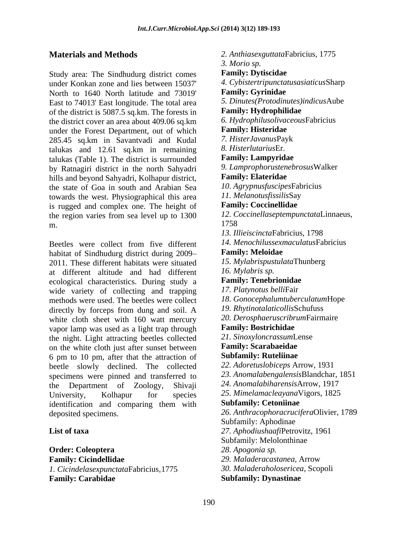Study area: The Sindhudurg district comes Family: Dytiscidae under Konkan zone and lies between 15037' 4. Cybistertripuncta<br>North to 1640 North latitude and 73019' **Family: Gyrinidae** North to 1640 North latitude and 73019' East to 74013' East longitude. The total area 5. Dinutes (Protodinutes)<br>of the district is 5087.5 sq km. The forests in **Family: Hydrophilidae** of the district is 5087.5 sq.km. The forests in the district cover an area about 409.06 sq.km b. Hydrophilusolivac<br>under the Forest Denartment out of which **Family: Histeridae** under the Forest Department, out of which **Family: Histeridae**<br>285.45 sq km in Savantyadi and Kudal 7. HisterJavanusPayk 285.45 sq.km in Savantvadi and Kudal talukas and 12.61 sq.km in remaining 8. Histerlutarius Er.<br>talukas (Table 1). The district is surrounded **Family: Lampyridae** talukas (Table 1). The district is surrounded by Ratnagiri district in the north Sahyadri 9. Lamprophorusten<br>hills and beyond Sahyadri Kolhanur district **Family: Elateridae** hills and beyond Sahyadri, Kolhapur district, the state of Goa in south and Arabian Sea *IO. Agrypnusfuscipes*Fab<br>towards the west Physiographical this area *II. Melanotusfissilis*Say towards the west. Physiographical this area *II. MelanotusfissilisSay*<br>is rugged and complex one. The height of **Family: Coccinellidae** is rugged and complex one. The height of the region varies from sea level up to  $1300$   $12. C$ <br>m m. 2005. The contract of the contract of the contract of the contract of the contract of the contract of the contract of the contract of the contract of the contract of the contract of the contract of the contract of the c

Beetles were collect from five different 14. Menochilussexn<br>habitat of Sindhudure district during 2009– **Family: Meloidae** habitat of Sindhudurg district during 2009– 2011. These different habitats were situated at different altitude and had different  $\frac{16. Mylabris sp.}{16. Mylabris sp.}$ ecological characteristics. During study a wide variety of collecting and trapping methods were used. The beetles were collect directly by forceps from dung and soil. A white cloth sheet with 160 watt mercury  $20.$  Derosphaeruscribr<br>vapor lamp was used as a light tran through **Family: Bostrichidae** vapor lamp was used as a light trap through the night. Light attracting beetles collected 21. SinoxyloncrassumLo<br>on the white cloth just after sunset between **Family: Scarabaeidae** on the white cloth just after sunset between<br>  $\begin{array}{r} \textbf{Family: Scarabaeidae} \\ \textbf{6 pm to 10 pm after that the attraction of} \end{array}$ 6 pm to 10 pm, after that the attraction of beetle slowly declined. The collected specimens were pinned and transferred to the Department of Zoology, Shivaji University, Kolhapur for species 25. MimelamacleayanaVigors, 1825 identification and comparing them with **Subfamily: Cetoniinae** deposited specimens. *26. Anthracophoracrucifera*Olivier, 1789

**Order: Coleoptera Family: Cicindellidae** *1. Cicindelasexpunctata*Fabricius,1775 **Family: Carabidae**

**Materials and Methods** *2. Anthiasexguttata*Fabricius, 1775 **List of taxa** *27. Aphodiushaafi*Petrovitz, 1961 *3. Morio sp.*  **Family: Dytiscidae** *4. Cybistertripunctatusasiaticus*Sharp **Family: Gyrinidae** *5. Dinutes(Protodinutes)indicus*Aube **Family: Hydrophilidae** *6. Hydrophilusolivaceous*Fabricius **Family: Histeridae** *7. HisterJavanus*Payk *8. Histerlutarius*Er. **Family: Lampyridae** *9. Lamprophorustenebrosus*Walker **Family: Elateridae** *10. Agrypnusfuscipes*Fabricius *11. Melanotusfissilis*Say **Family: Coccinellidae** *12. Coccinellaseptempunctata*Linnaeus, 1758 *13. Illieiscincta*Fabricius, 1798 *14. Menochilussexmaculatus*Fabricius **Family: Meloidae** *15. Mylabrispustulata*Thunberg *16. Mylabris sp.*  **Family: Tenebrionidae** *17. Platynotus belli*Fair *18. Gonocephalumtuberculatum*Hope *19. Rhytinotalaticollis*Schufuss *20. Derosphaeruscribrum*Fairmaire **Family: Bostrichidae** *21. Sinoxyloncrassum*Lense **Family: Scarabaeidae Subfamily: Ruteliinae** *22. Adoretuslobiceps* Arrow, 1931 *23. Anomalabengalensis*Blandchar, 1851 *24. Anomalabiharensis*Arrow, 1917 **Subfamily: Cetoniinae** Subfamily: Aphodinae Subfamily: Melolonthinae *28. Apogonia sp. 29. Maladeracastanea,* Arrow *30. Maladeraholosericea,* Scopoli **Subfamily: Dynastinae**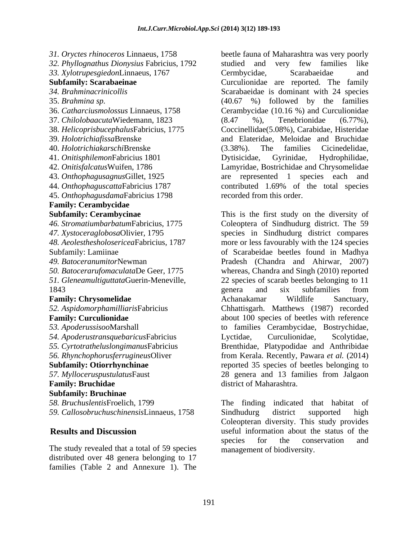45. *Onthophagusdama*Fabricius 1798 **Family: Cerambycidae Subfamily: Bruchinae**

The study revealed that a total of 59 species distributed over 48 genera belonging to 17 families (Table 2 and Annexure 1). The

*31. Oryctes rhinoceros* Linnaeus, 1758 beetle fauna of Maharashtra was very poorly *32. Phyllognathus Dionysius* Fabricius, 1792 *33. Xylotrupesgiedon*Linnaeus, 1767 **Subfamily: Scarabaeinae** Curculionidae are reported. The family *34. Brahminacrinicollis* Scarabaeidae is dominant with 24 species 35. *Brahmina sp.* (40.67 %) followed by the families 36. *Catharciusmolossus* Linnaeus, 1758 Cerambycidae (10.16 %) and Curculionidae 37. *Chilolobaacuta*Wiedemann, 1823 38. *Helicoprisbucephalus*Fabricius, 1775 Coccinellidae(5.08%), Carabidae, Histeridae 39. *Holotrichiafissa*Brenske and Elateridae, Meloidae and Bruchidae 40. *Holotrichiakarschi*Brenske 41. *Onitisphilemon*Fabricius 1801 42. *Onitisfalcatus*Wuifen, 1786 Lamyridae, Bostrichidae and Chrysomelidae 43. *Onthophagusagnus*Gillet, 1925 are represented 1 species each and 44. *Onthophaguscatta*Fabricius 1787 contributed 1.69% of the total species studied and very few families like Cermbycidae, Scarabaeidae and (8.47 %), Tenebrionidae (6.77%), (3.38%). The families Cicinedelidae, Dytisicidae, Gyrinidae, Hydrophilidae, recorded from this order.

**Subfamily: Cerambycinae** This is the first study on the diversity of *46. Stromatiumbarbatum*Fabricius, 1775 Coleoptera of Sindhudurg district. The 59 *47. Xystoceraglobosa*Olivier, 1795 species in Sindhudurg district compares *48. Aeolesthesholosericea*Fabricius, 1787 more or less favourably with the 124 species Subfamily: Lamiinae of Scarabeidae beetles found in Madhya *49. Batoceranumitor*Newman Pradesh (Chandra and Ahirwar, 2007) *50. Batocerarufomaculata*De Geer, 1775 whereas, Chandra and Singh (2010) reported *51. Gleneamultiguttata*Guerin-Meneville, 22 species of scarab beetles belonging to 11 1843 **1843 1843 1843 1843 1846 1846 1846 1846 1846 1846 1846 1846 1846 1846 1846 1846 1846 1846 1846 1846 1846 1846 1846 1846 1846 1846 1846 1846 1846 1846 1846 Family: Chrysomelidae** *52. Aspidomorphamilliaris*Fabricius Chhattisgarh. Matthews (1987) recorded **Family: Curculionidae** about 100 species of beetles with reference *53. Apoderussisoo*Marshall to families Cerambycidae, Bostrychidae, *54. Apoderustransquebaricus*Fabricius *55. Cyrtotratheluslongimanus*Fabricius Brenthidae, Platypodidae and Anthribidae *56. Rhynchophorusferrugineus*Oliver from Kerala. Recently, Pawara *et al.* (2014) **Subfamily: Otiorrhynchinae** reported 35 species of beetles belonging to *57. Mylloceruspustulatus*Faust 28 genera and 13 families from Jalgaon **Family: Bruchidae** genera and six subfamilies from Achanakamar Wildlife Sanctuary, Lyctidae, Curculionidae, Scolytidae, district of Maharashtra.

*58. Bruchuslentis*Froelich, 1799 The finding indicated that habitat of *59. Callosobruchuschinensis*Linnaeus, 1758 **Results and Discussion** useful information about the status of the Sindhudurg district supported high Coleopteran diversity. This study provides species for the conservation and management of biodiversity.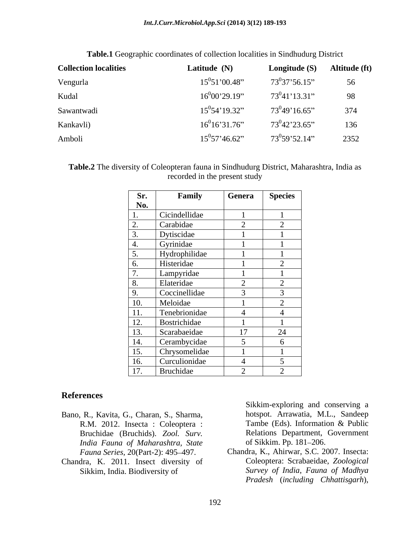| <b>Collection localities</b> | Latitude (N)       | Longitude (S)     | Altitude (ft) |
|------------------------------|--------------------|-------------------|---------------|
| Vengurla                     | $15^{0}51'00.48"$  | $73^0$ 37'56.15"  | 56            |
| Kudal                        | $16^{0}00'29.19"$  | $73^041'13.31''$  | 98            |
| Sawantwadi                   | $15^0 54' 19.32''$ | $73^{0}49'16.65"$ | 374           |
| Kankavli)                    | $16^{0}16'31.76"$  | $73^{0}42'23.65"$ | 136           |
| Amboli                       | $15^0$ 57'46.62"   | $73^0$ 59'52.14"  | 2352          |

**Table.1** Geographic coordinates of collection localities in Sindhudurg District

| <b>Table.2</b> The diversity of<br>Maharashtra, India as<br>$\sim$ $\sim$ $\sim$<br>Coleopteran fauna in Sindhudurg District " |
|--------------------------------------------------------------------------------------------------------------------------------|
| recorded in the present study                                                                                                  |

| Sr.                                      | Family        | Genera        | <b>Species</b> |
|------------------------------------------|---------------|---------------|----------------|
| No.                                      |               |               |                |
| <b>1.</b>                                | Cicindellidae |               |                |
| 2.                                       | Carabidae     | $\bigcap$     |                |
| 3.                                       | Dytiscidae    |               |                |
| 4.                                       | Gyrinidae     |               |                |
| 5.                                       | Hydrophilidae |               |                |
| 6.                                       | Histeridae    |               | ↩              |
| $\mathbf{z}$<br>$\overline{\phantom{a}}$ | Lampyridae    |               |                |
| and the control of<br>8.                 | Elateridae    | $\sim$        |                |
| $\frac{9}{2}$                            | Coccinellidae | 3             | ⌒              |
| <b>10.</b>                               | Meloidae      |               | ↩              |
| 11.                                      | Tenebrionidae | 4             |                |
| 12.                                      | Bostrichidae  |               |                |
| 13.                                      | Scarabaeidae  | 17            | 24             |
| <u>14.</u>                               | Cerambycidae  | $\mathcal{L}$ | O              |
| 15.                                      | Chrysomelidae |               |                |
| 16.                                      | Curculionidae |               |                |
| 17.                                      | Bruchidae     | $\sim$        | $\sim$<br>∠    |

### **References**

- Bano, R., Kavita, G., Charan, S., Sharma, hotspot. Arrawatia, M.L., Sandeep<br>R.M. 2012. Insecta: Coleoptera: Tambe (Eds). Information & Public R.M. 2012. Insecta : Coleoptera : Bruchidae (Bruchids). *Zool. Surv. India Fauna of Maharashtra, State*
- Chandra, K. 2011. Insect diversity of

Sikkim-exploring and conserving a hotspot. Arrawatia, M.L., Sandeep Tambe (Eds). Information & Public Relations Department, Government of Sikkim. Pp. 181-206.

*Fauna Series,* 20(Part-2): 495 497. Chandra, K., Ahirwar, S.C. 2007. Insecta: Sikkim, India. Biodiversity of *Survey of India*, *Fauna of Madhya* Coleoptera: Scrabaeidae, *Zoological Pradesh* (*including Chhattisgarh*),